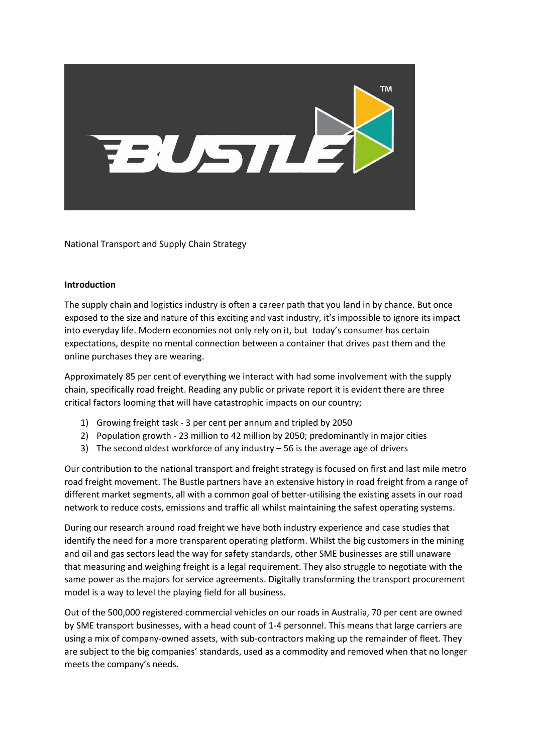

National Transport and Supply Chain Strategy

### **Introduction**

The supply chain and logistics industry is often a career path that you land in by chance. But once exposed to the size and nature of this exciting and vast industry, it's impossible to ignore its impact into everyday life. Modern economies not only rely on it, but today's consumer has certain expectations, despite no mental connection between a container that drives past them and the online purchases they are wearing.

Approximately 85 per cent of everything we interact with had some involvement with the supply chain, specifically road freight. Reading any public or private report it is evident there are three critical factors looming that will have catastrophic impacts on our country;

- 1) Growing freight task 3 per cent per annum and tripled by 2050
- 2) Population growth 23 million to 42 million by 2050; predominantly in major cities
- 3) The second oldest workforce of any industry 56 is the average age of drivers

Our contribution to the national transport and freight strategy is focused on first and last mile metro road freight movement. The Bustle partners have an extensive history in road freight from a range of different market segments, all with a common goal of better-utilising the existing assets in our road network to reduce costs, emissions and traffic all whilst maintaining the safest operating systems.

During our research around road freight we have both industry experience and case studies that identify the need for a more transparent operating platform. Whilst the big customers in the mining and oil and gas sectors lead the way for safety standards, other SME businesses are still unaware that measuring and weighing freight is a legal requirement. They also struggle to negotiate with the same power as the majors for service agreements. Digitally transforming the transport procurement model is a way to level the playing field for all business.

Out of the 500,000 registered commercial vehicles on our roads in Australia, 70 per cent are owned by SME transport businesses, with a head count of 1-4 personnel. This means that large carriers are using a mix of company-owned assets, with sub-contractors making up the remainder of fleet. They are subject to the big companies' standards, used as a commodity and removed when that no longer meets the company's needs.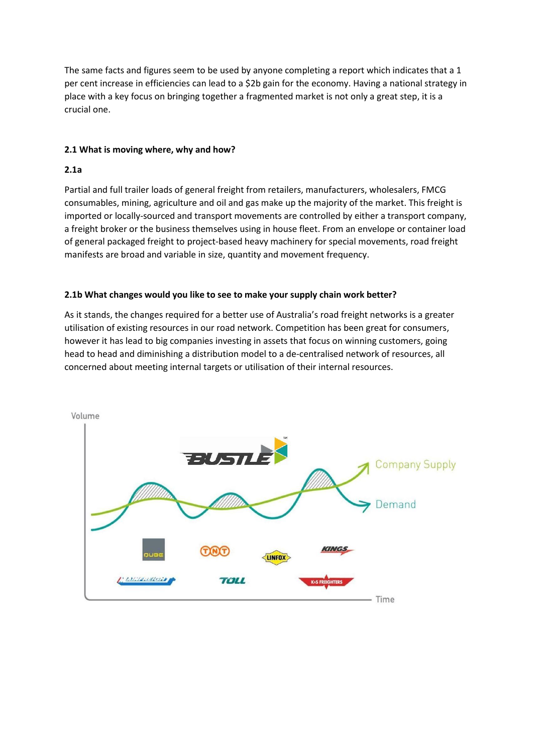The same facts and figures seem to be used by anyone completing a report which indicates that a 1 per cent increase in efficiencies can lead to a \$2b gain for the economy. Having a national strategy in place with a key focus on bringing together a fragmented market is not only a great step, it is a crucial one.

# **2.1 What is moving where, why and how?**

# **2.1a**

Partial and full trailer loads of general freight from retailers, manufacturers, wholesalers, FMCG consumables, mining, agriculture and oil and gas make up the majority of the market. This freight is imported or locally-sourced and transport movements are controlled by either a transport company, a freight broker or the business themselves using in house fleet. From an envelope or container load of general packaged freight to project-based heavy machinery for special movements, road freight manifests are broad and variable in size, quantity and movement frequency.

# **2.1b What changes would you like to see to make your supply chain work better?**

As it stands, the changes required for a better use of Australia's road freight networks is a greater utilisation of existing resources in our road network. Competition has been great for consumers, however it has lead to big companies investing in assets that focus on winning customers, going head to head and diminishing a distribution model to a de-centralised network of resources, all concerned about meeting internal targets or utilisation of their internal resources.

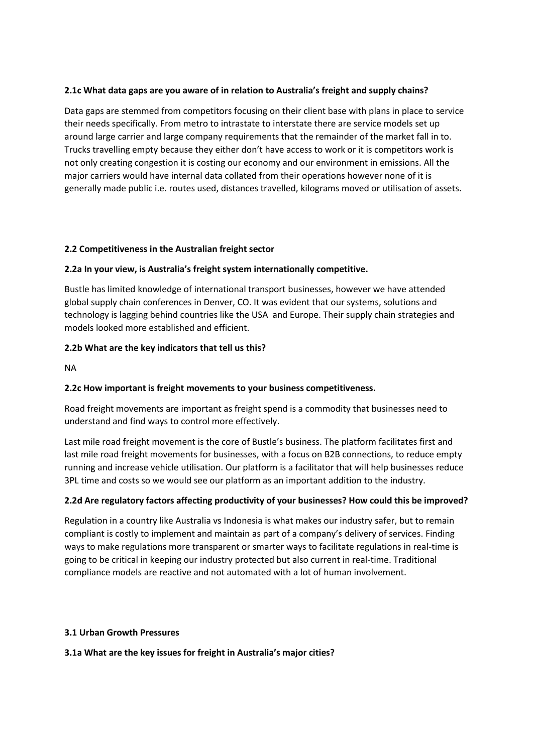# **2.1c What data gaps are you aware of in relation to Australia's freight and supply chains?**

Data gaps are stemmed from competitors focusing on their client base with plans in place to service their needs specifically. From metro to intrastate to interstate there are service models set up around large carrier and large company requirements that the remainder of the market fall in to. Trucks travelling empty because they either don't have access to work or it is competitors work is not only creating congestion it is costing our economy and our environment in emissions. All the major carriers would have internal data collated from their operations however none of it is generally made public i.e. routes used, distances travelled, kilograms moved or utilisation of assets.

### **2.2 Competitiveness in the Australian freight sector**

# **2.2a In your view, is Australia's freight system internationally competitive.**

Bustle has limited knowledge of international transport businesses, however we have attended global supply chain conferences in Denver, CO. It was evident that our systems, solutions and technology is lagging behind countries like the USA and Europe. Their supply chain strategies and models looked more established and efficient.

# **2.2b What are the key indicators that tell us this?**

NA

# **2.2c How important is freight movements to your business competitiveness.**

Road freight movements are important as freight spend is a commodity that businesses need to understand and find ways to control more effectively.

Last mile road freight movement is the core of Bustle's business. The platform facilitates first and last mile road freight movements for businesses, with a focus on B2B connections, to reduce empty running and increase vehicle utilisation. Our platform is a facilitator that will help businesses reduce 3PL time and costs so we would see our platform as an important addition to the industry.

# **2.2d Are regulatory factors affecting productivity of your businesses? How could this be improved?**

Regulation in a country like Australia vs Indonesia is what makes our industry safer, but to remain compliant is costly to implement and maintain as part of a company's delivery of services. Finding ways to make regulations more transparent or smarter ways to facilitate regulations in real-time is going to be critical in keeping our industry protected but also current in real-time. Traditional compliance models are reactive and not automated with a lot of human involvement.

#### **3.1 Urban Growth Pressures**

**3.1a What are the key issues for freight in Australia's major cities?**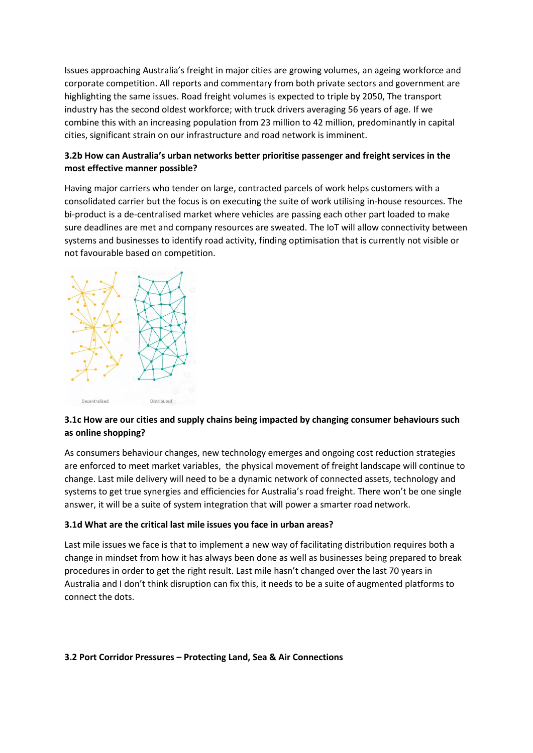Issues approaching Australia's freight in major cities are growing volumes, an ageing workforce and corporate competition. All reports and commentary from both private sectors and government are highlighting the same issues. Road freight volumes is expected to triple by 2050, The transport industry has the second oldest workforce; with truck drivers averaging 56 years of age. If we combine this with an increasing population from 23 million to 42 million, predominantly in capital cities, significant strain on our infrastructure and road network is imminent.

# **3.2b How can Australia's urban networks better prioritise passenger and freight services in the most effective manner possible?**

Having major carriers who tender on large, contracted parcels of work helps customers with a consolidated carrier but the focus is on executing the suite of work utilising in-house resources. The bi-product is a de-centralised market where vehicles are passing each other part loaded to make sure deadlines are met and company resources are sweated. The IoT will allow connectivity between systems and businesses to identify road activity, finding optimisation that is currently not visible or not favourable based on competition.



# **3.1c How are our cities and supply chains being impacted by changing consumer behaviours such as online shopping?**

As consumers behaviour changes, new technology emerges and ongoing cost reduction strategies are enforced to meet market variables, the physical movement of freight landscape will continue to change. Last mile delivery will need to be a dynamic network of connected assets, technology and systems to get true synergies and efficiencies for Australia's road freight. There won't be one single answer, it will be a suite of system integration that will power a smarter road network.

# **3.1d What are the critical last mile issues you face in urban areas?**

Last mile issues we face is that to implement a new way of facilitating distribution requires both a change in mindset from how it has always been done as well as businesses being prepared to break procedures in order to get the right result. Last mile hasn't changed over the last 70 years in Australia and I don't think disruption can fix this, it needs to be a suite of augmented platforms to connect the dots.

#### **3.2 Port Corridor Pressures – Protecting Land, Sea & Air Connections**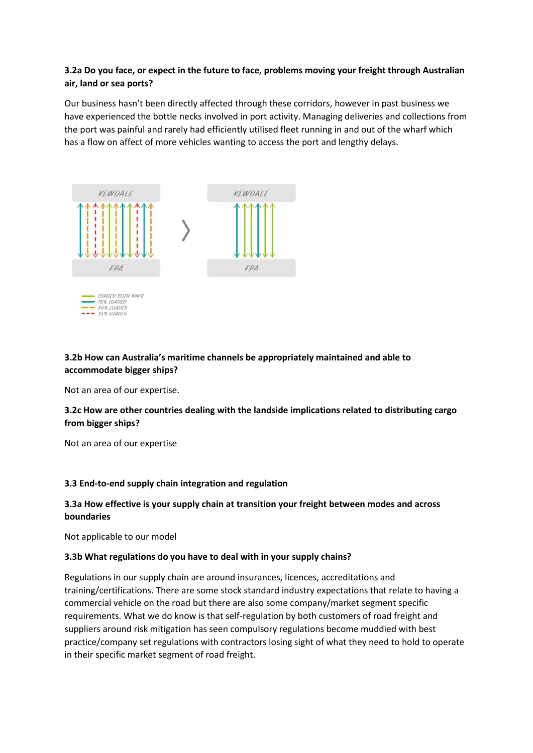# **3.2a Do you face, or expect in the future to face, problems moving your freight through Australian air, land or sea ports?**

Our business hasn't been directly affected through these corridors, however in past business we have experienced the bottle necks involved in port activity. Managing deliveries and collections from the port was painful and rarely had efficiently utilised fleet running in and out of the wharf which has a flow on affect of more vehicles wanting to access the port and lengthy delays.



# **3.2b How can Australia's maritime channels be appropriately maintained and able to accommodate bigger ships?**

Not an area of our expertise.

# **3.2c How are other countries dealing with the landside implications related to distributing cargo from bigger ships?**

Not an area of our expertise

# **3.3 End-to-end supply chain integration and regulation**

# **3.3a How effective is your supply chain at transition your freight between modes and across boundaries**

Not applicable to our model

#### **3.3b What regulations do you have to deal with in your supply chains?**

Regulations in our supply chain are around insurances, licences, accreditations and training/certifications. There are some stock standard industry expectations that relate to having a commercial vehicle on the road but there are also some company/market segment specific requirements. What we do know is that self-regulation by both customers of road freight and suppliers around risk mitigation has seen compulsory regulations become muddied with best practice/company set regulations with contractors losing sight of what they need to hold to operate in their specific market segment of road freight.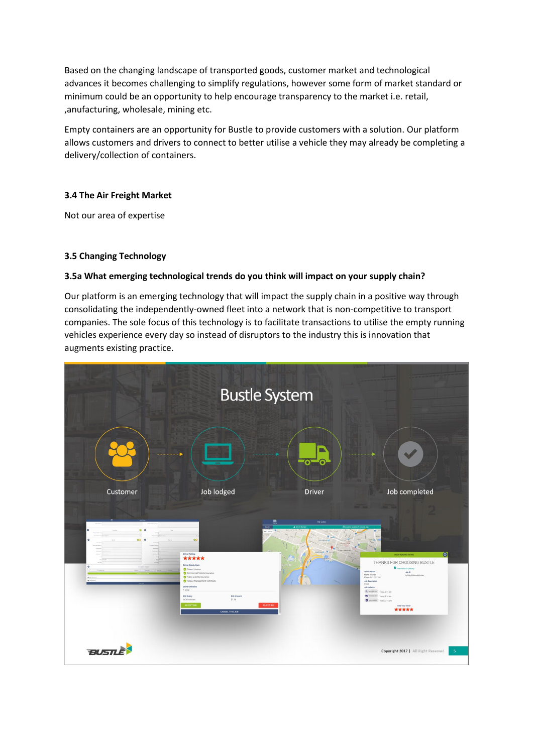Based on the changing landscape of transported goods, customer market and technological advances it becomes challenging to simplify regulations, however some form of market standard or minimum could be an opportunity to help encourage transparency to the market i.e. retail, ,anufacturing, wholesale, mining etc.

Empty containers are an opportunity for Bustle to provide customers with a solution. Our platform allows customers and drivers to connect to better utilise a vehicle they may already be completing a delivery/collection of containers.

### **3.4 The Air Freight Market**

Not our area of expertise

### **3.5 Changing Technology**

#### **3.5a What emerging technological trends do you think will impact on your supply chain?**

Our platform is an emerging technology that will impact the supply chain in a positive way through consolidating the independently-owned fleet into a network that is non-competitive to transport companies. The sole focus of this technology is to facilitate transactions to utilise the empty running vehicles experience every day so instead of disruptors to the industry this is innovation that augments existing practice.

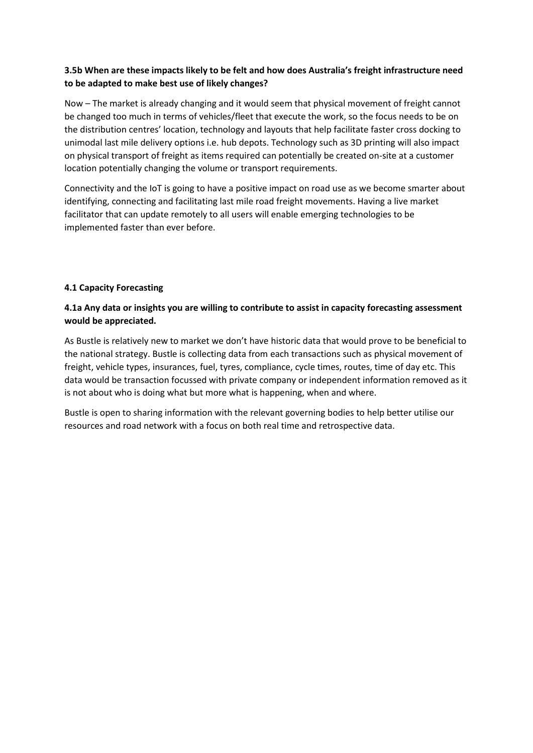# **3.5b When are these impacts likely to be felt and how does Australia's freight infrastructure need to be adapted to make best use of likely changes?**

Now – The market is already changing and it would seem that physical movement of freight cannot be changed too much in terms of vehicles/fleet that execute the work, so the focus needs to be on the distribution centres' location, technology and layouts that help facilitate faster cross docking to unimodal last mile delivery options i.e. hub depots. Technology such as 3D printing will also impact on physical transport of freight as items required can potentially be created on-site at a customer location potentially changing the volume or transport requirements.

Connectivity and the IoT is going to have a positive impact on road use as we become smarter about identifying, connecting and facilitating last mile road freight movements. Having a live market facilitator that can update remotely to all users will enable emerging technologies to be implemented faster than ever before.

# **4.1 Capacity Forecasting**

# **4.1a Any data or insights you are willing to contribute to assist in capacity forecasting assessment would be appreciated.**

As Bustle is relatively new to market we don't have historic data that would prove to be beneficial to the national strategy. Bustle is collecting data from each transactions such as physical movement of freight, vehicle types, insurances, fuel, tyres, compliance, cycle times, routes, time of day etc. This data would be transaction focussed with private company or independent information removed as it is not about who is doing what but more what is happening, when and where.

Bustle is open to sharing information with the relevant governing bodies to help better utilise our resources and road network with a focus on both real time and retrospective data.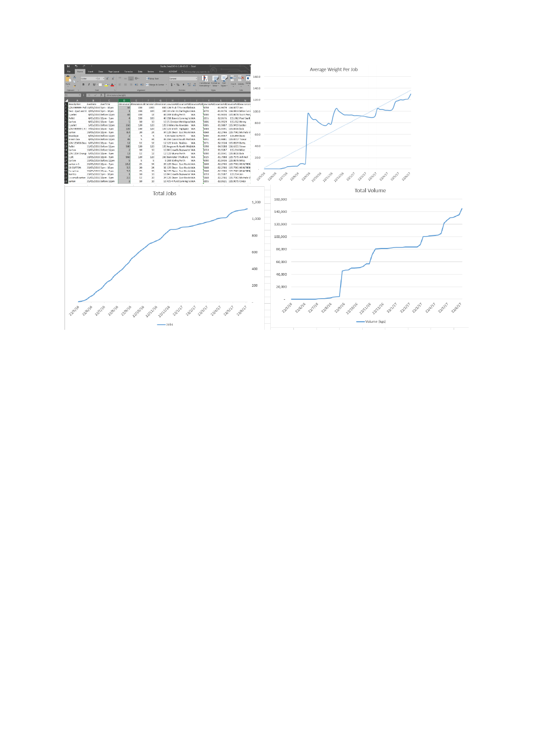